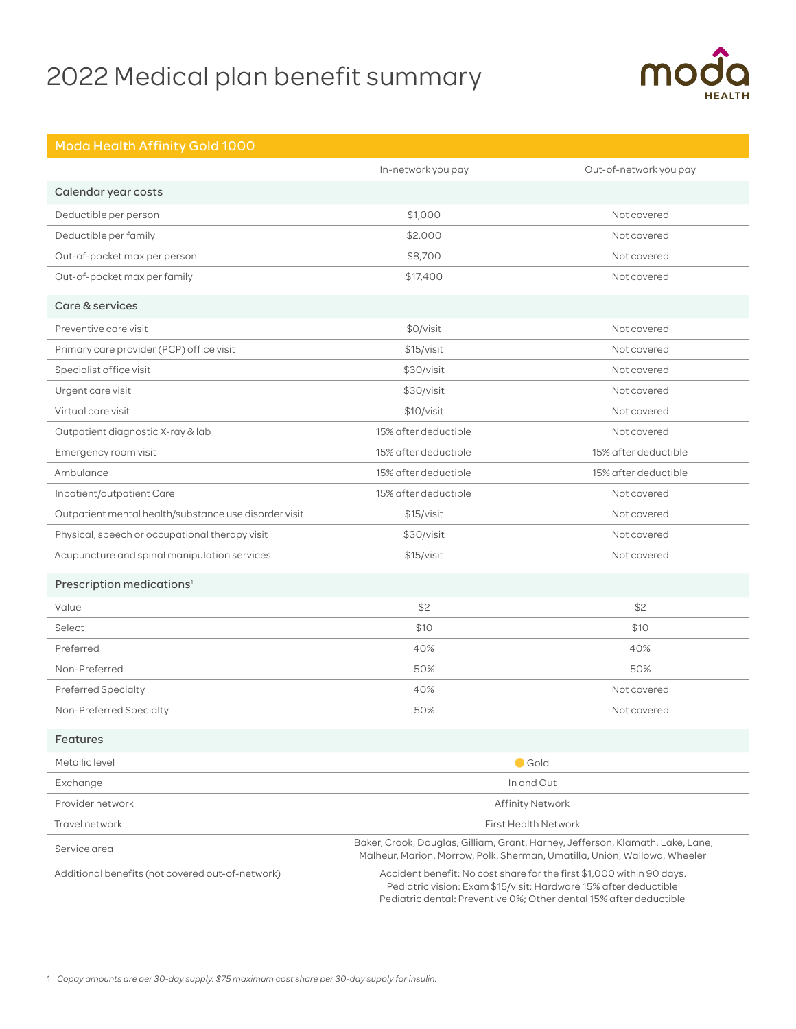# 2022 Medical plan benefit summary



|                                                       | In-network you pay                                                                                                                                                                                              | Out-of-network you pay |
|-------------------------------------------------------|-----------------------------------------------------------------------------------------------------------------------------------------------------------------------------------------------------------------|------------------------|
| Calendar year costs                                   |                                                                                                                                                                                                                 |                        |
| Deductible per person                                 | \$1,000                                                                                                                                                                                                         | Not covered            |
| Deductible per family                                 | \$2,000                                                                                                                                                                                                         | Not covered            |
| Out-of-pocket max per person                          | \$8,700                                                                                                                                                                                                         | Not covered            |
| Out-of-pocket max per family                          | \$17,400                                                                                                                                                                                                        | Not covered            |
| Care & services                                       |                                                                                                                                                                                                                 |                        |
| Preventive care visit                                 | \$0/visit                                                                                                                                                                                                       | Not covered            |
| Primary care provider (PCP) office visit              | \$15/visit                                                                                                                                                                                                      | Not covered            |
| Specialist office visit                               | \$30/visit                                                                                                                                                                                                      | Not covered            |
| Urgent care visit                                     | \$30/visit                                                                                                                                                                                                      | Not covered            |
| Virtual care visit                                    | \$10/vist                                                                                                                                                                                                       | Not covered            |
| Outpatient diagnostic X-ray & lab                     | 15% after deductible                                                                                                                                                                                            | Not covered            |
| Emergency room visit                                  | 15% after deductible                                                                                                                                                                                            | 15% after deductible   |
| Ambulance                                             | 15% after deductible                                                                                                                                                                                            | 15% after deductible   |
| Inpatient/outpatient Care                             | 15% after deductible                                                                                                                                                                                            | Not covered            |
| Outpatient mental health/substance use disorder visit | \$15/visit                                                                                                                                                                                                      | Not covered            |
| Physical, speech or occupational therapy visit        | \$30/visit                                                                                                                                                                                                      | Not covered            |
| Acupuncture and spinal manipulation services          | \$15/visit                                                                                                                                                                                                      | Not covered            |
| Prescription medications <sup>1</sup>                 |                                                                                                                                                                                                                 |                        |
| Value                                                 | \$2                                                                                                                                                                                                             | \$2                    |
| Select                                                | \$10                                                                                                                                                                                                            | \$10                   |
| Preferred                                             | 40%                                                                                                                                                                                                             | 40%                    |
| Non-Preferred                                         | 50%                                                                                                                                                                                                             | 50%                    |
| <b>Preferred Specialty</b>                            | 40%                                                                                                                                                                                                             | Not covered            |
| Non-Preferred Specialty                               | 50%                                                                                                                                                                                                             | Not covered            |
| Features                                              |                                                                                                                                                                                                                 |                        |
| Metallic level                                        | $\bigcirc$ Gold                                                                                                                                                                                                 |                        |
| Exchange                                              | In and Out                                                                                                                                                                                                      |                        |
| Provider network                                      | <b>Affinity Network</b>                                                                                                                                                                                         |                        |
| Travel network                                        | <b>First Health Network</b>                                                                                                                                                                                     |                        |
| Service area                                          | Baker, Crook, Douglas, Gilliam, Grant, Harney, Jefferson, Klamath, Lake, Lane,<br>Malheur, Marion, Morrow, Polk, Sherman, Umatilla, Union, Wallowa, Wheeler                                                     |                        |
| Additional benefits (not covered out-of-network)      | Accident benefit: No cost share for the first \$1,000 within 90 days.<br>Pediatric vision: Exam \$15/visit; Hardware 15% after deductible<br>Pediatric dental: Preventive 0%; Other dental 15% after deductible |                        |